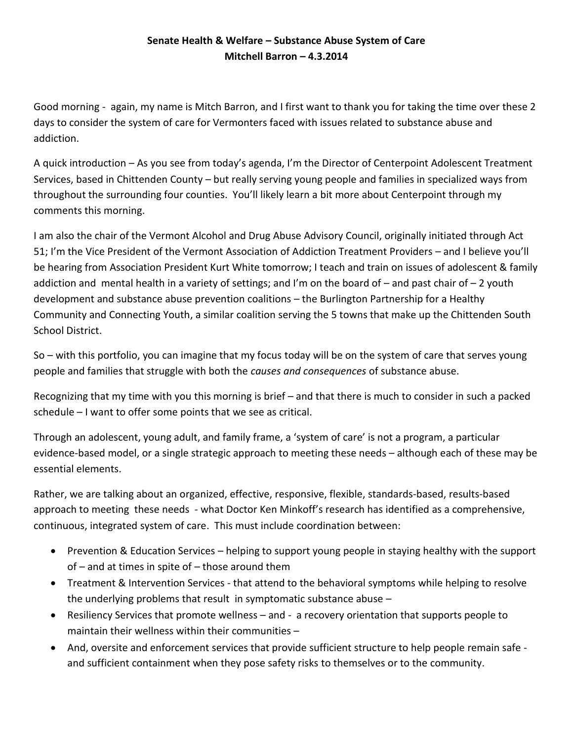## **Senate Health & Welfare – Substance Abuse System of Care Mitchell Barron – 4.3.2014**

Good morning - again, my name is Mitch Barron, and I first want to thank you for taking the time over these 2 days to consider the system of care for Vermonters faced with issues related to substance abuse and addiction.

A quick introduction – As you see from today's agenda, I'm the Director of Centerpoint Adolescent Treatment Services, based in Chittenden County – but really serving young people and families in specialized ways from throughout the surrounding four counties. You'll likely learn a bit more about Centerpoint through my comments this morning.

I am also the chair of the Vermont Alcohol and Drug Abuse Advisory Council, originally initiated through Act 51; I'm the Vice President of the Vermont Association of Addiction Treatment Providers – and I believe you'll be hearing from Association President Kurt White tomorrow; I teach and train on issues of adolescent & family addiction and mental health in a variety of settings; and I'm on the board of – and past chair of – 2 youth development and substance abuse prevention coalitions – the Burlington Partnership for a Healthy Community and Connecting Youth, a similar coalition serving the 5 towns that make up the Chittenden South School District.

So – with this portfolio, you can imagine that my focus today will be on the system of care that serves young people and families that struggle with both the *causes and consequences* of substance abuse.

Recognizing that my time with you this morning is brief – and that there is much to consider in such a packed schedule – I want to offer some points that we see as critical.

Through an adolescent, young adult, and family frame, a 'system of care' is not a program, a particular evidence-based model, or a single strategic approach to meeting these needs – although each of these may be essential elements.

Rather, we are talking about an organized, effective, responsive, flexible, standards-based, results-based approach to meeting these needs - what Doctor Ken Minkoff's research has identified as a comprehensive, continuous, integrated system of care. This must include coordination between:

- Prevention & Education Services helping to support young people in staying healthy with the support of – and at times in spite of – those around them
- Treatment & Intervention Services that attend to the behavioral symptoms while helping to resolve the underlying problems that result in symptomatic substance abuse –
- Resiliency Services that promote wellness and a recovery orientation that supports people to maintain their wellness within their communities –
- And, oversite and enforcement services that provide sufficient structure to help people remain safe and sufficient containment when they pose safety risks to themselves or to the community.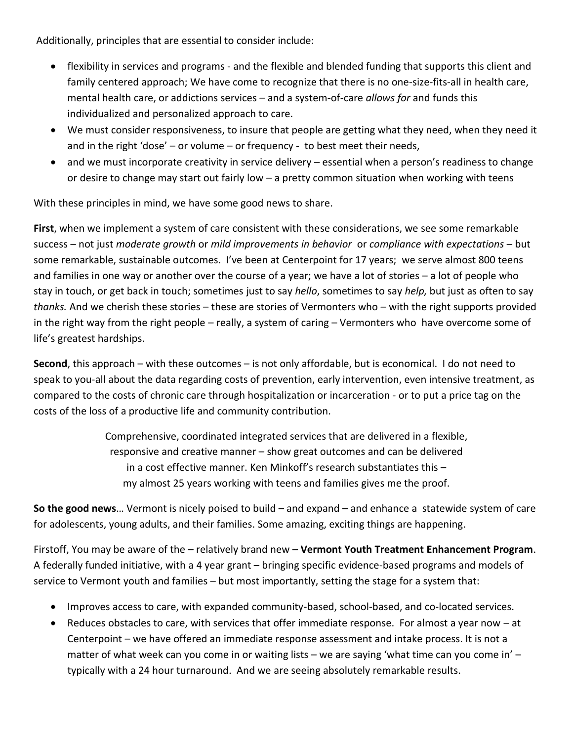Additionally, principles that are essential to consider include:

- flexibility in services and programs and the flexible and blended funding that supports this client and family centered approach; We have come to recognize that there is no one-size-fits-all in health care, mental health care, or addictions services – and a system-of-care *allows for* and funds this individualized and personalized approach to care.
- We must consider responsiveness, to insure that people are getting what they need, when they need it and in the right 'dose' – or volume – or frequency - to best meet their needs,
- and we must incorporate creativity in service delivery essential when a person's readiness to change or desire to change may start out fairly low – a pretty common situation when working with teens

With these principles in mind, we have some good news to share.

**First**, when we implement a system of care consistent with these considerations, we see some remarkable success – not just *moderate growth* or *mild improvements in behavior* or *compliance with expectations* – but some remarkable, sustainable outcomes. I've been at Centerpoint for 17 years; we serve almost 800 teens and families in one way or another over the course of a year; we have a lot of stories – a lot of people who stay in touch, or get back in touch; sometimes just to say *hello*, sometimes to say *help,* but just as often to say *thanks.* And we cherish these stories – these are stories of Vermonters who – with the right supports provided in the right way from the right people – really, a system of caring – Vermonters who have overcome some of life's greatest hardships.

**Second**, this approach – with these outcomes – is not only affordable, but is economical. I do not need to speak to you-all about the data regarding costs of prevention, early intervention, even intensive treatment, as compared to the costs of chronic care through hospitalization or incarceration - or to put a price tag on the costs of the loss of a productive life and community contribution.

> Comprehensive, coordinated integrated services that are delivered in a flexible, responsive and creative manner – show great outcomes and can be delivered in a cost effective manner. Ken Minkoff's research substantiates this – my almost 25 years working with teens and families gives me the proof.

**So the good news**… Vermont is nicely poised to build – and expand – and enhance a statewide system of care for adolescents, young adults, and their families. Some amazing, exciting things are happening.

Firstoff, You may be aware of the – relatively brand new – **Vermont Youth Treatment Enhancement Program**. A federally funded initiative, with a 4 year grant – bringing specific evidence-based programs and models of service to Vermont youth and families – but most importantly, setting the stage for a system that:

- Improves access to care, with expanded community-based, school-based, and co-located services.
- Reduces obstacles to care, with services that offer immediate response. For almost a year now at Centerpoint – we have offered an immediate response assessment and intake process. It is not a matter of what week can you come in or waiting lists – we are saying 'what time can you come in'  $$ typically with a 24 hour turnaround. And we are seeing absolutely remarkable results.